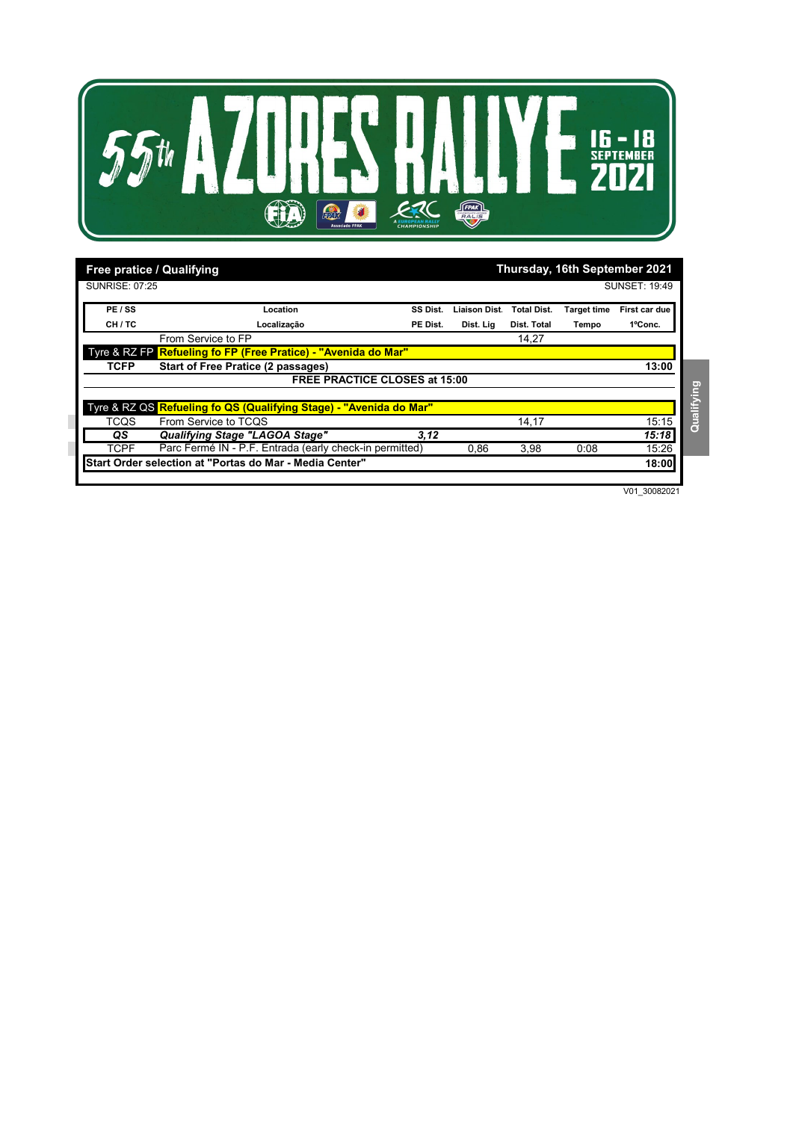

| Thursday, 16th September 2021<br><b>Free pratice / Qualifying</b> |                                                                    |          |              |                    |                    |                      |
|-------------------------------------------------------------------|--------------------------------------------------------------------|----------|--------------|--------------------|--------------------|----------------------|
| SUNRISE: 07:25                                                    |                                                                    |          |              |                    |                    | <b>SUNSET: 19:49</b> |
| PE / SS                                                           | Location                                                           | SS Dist. | Liaison Dist | <b>Total Dist.</b> | <b>Target time</b> | First car due        |
| CH / TC                                                           | Localização                                                        | PE Dist. | Dist. Lig    | Dist. Total        | Tempo              | 1°Conc.              |
|                                                                   | From Service to FP                                                 |          |              | 14,27              |                    |                      |
|                                                                   | Tyre & RZ FP Refueling fo FP (Free Pratice) - "Avenida do Mar"     |          |              |                    |                    |                      |
| <b>TCFP</b>                                                       | <b>Start of Free Pratice (2 passages)</b>                          |          |              |                    |                    | 13:00                |
|                                                                   | <b>FREE PRACTICE CLOSES at 15:00</b>                               |          |              |                    |                    |                      |
|                                                                   | Tyre & RZ QS Refueling fo QS (Qualifying Stage) - "Avenida do Mar" |          |              |                    |                    |                      |
| TCQS                                                              | From Service to TCQS                                               |          |              | 14,17              |                    | 15:15                |
| QS.                                                               | Qualifying Stage "LAGOA Stage"                                     | 3,12     |              |                    |                    | 15:18                |
| <b>TCPF</b>                                                       | Parc Fermé IN - P.F. Entrada (early check-in permitted)            |          | 0,86         | 3,98               | 0:08               | 15:26                |
|                                                                   | Start Order selection at "Portas do Mar - Media Center"            |          |              |                    |                    | 18:00                |

V01\_30082021

## Qualifying **Qualifying**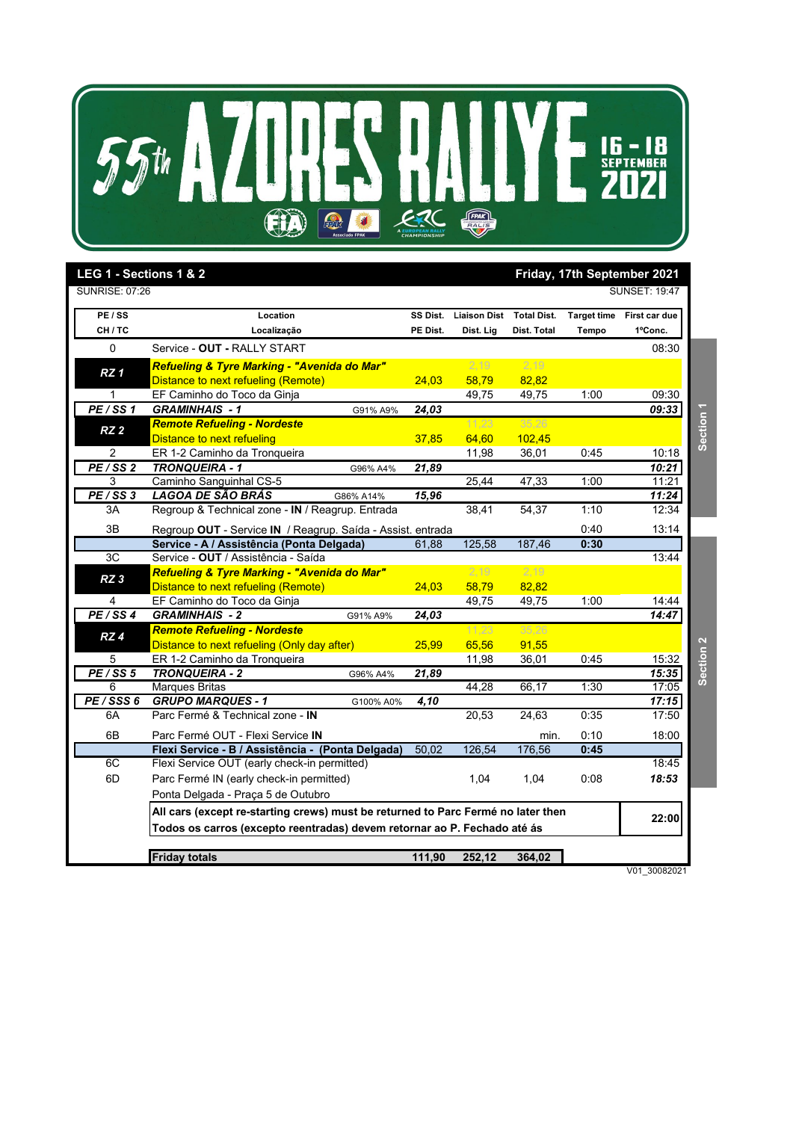

| LEG 1 - Sections 1 & 2<br><b>SUNRISE: 07:26</b> |                                                                                  |          |                          |             |                    | Friday, 17th September 2021<br><b>SUNSET: 19:47</b> |                  |
|-------------------------------------------------|----------------------------------------------------------------------------------|----------|--------------------------|-------------|--------------------|-----------------------------------------------------|------------------|
| PE / SS                                         | Location                                                                         | SS Dist. | Liaison Dist Total Dist. |             | <b>Target time</b> | First car due                                       |                  |
| CH/TC                                           | Localização                                                                      | PE Dist. | Dist. Lig                | Dist. Total | Tempo              | 1°Conc.                                             |                  |
| $\pmb{0}$                                       | Service - OUT - RALLY START                                                      |          |                          |             |                    | 08:30                                               |                  |
|                                                 | Refueling & Tyre Marking - "Avenida do Mar"                                      |          | 2,19                     | 2,19        |                    |                                                     |                  |
| RZ <sub>1</sub>                                 | Distance to next refueling (Remote)                                              | 24,03    | 58,79                    | 82,82       |                    |                                                     |                  |
| 1                                               | EF Caminho do Toco da Ginja                                                      |          | 49,75                    | 49,75       | 1:00               | 09:30                                               |                  |
| PE/SS1                                          | <b>GRAMINHAIS - 1</b><br>G91% A9%                                                | 24,03    |                          |             |                    | 09:33                                               |                  |
|                                                 | <b>Remote Refueling - Nordeste</b>                                               |          | 11,23                    | 35,26       |                    |                                                     | Section 1        |
| RZ <sub>2</sub>                                 | Distance to next refueling                                                       | 37,85    | 64,60                    | 102,45      |                    |                                                     |                  |
| 2                                               | ER 1-2 Caminho da Tronqueira                                                     |          | 11,98                    | 36,01       | 0:45               | 10:18                                               |                  |
| PE/SS <sub>2</sub>                              | <b>TRONQUEIRA - 1</b><br>G96% A4%                                                | 21,89    |                          |             |                    | 10:21                                               |                  |
| 3                                               | Caminho Sanguinhal CS-5                                                          |          | 25,44                    | 47,33       | 1:00               | 11:21                                               |                  |
| PE/SS3                                          | LAGOA DE SÃO BRÁS<br>G86% A14%                                                   | 15,96    |                          |             |                    | 11:24                                               |                  |
| 3A                                              | Regroup & Technical zone - IN / Reagrup. Entrada                                 |          | 38,41                    | 54,37       | 1:10               | 12:34                                               |                  |
| 3B                                              | Regroup OUT - Service IN / Reagrup. Saída - Assist. entrada                      |          |                          |             | 0:40               | 13:14                                               |                  |
|                                                 | Service - A / Assistência (Ponta Delgada)                                        | 61,88    | 125,58                   | 187,46      | 0:30               |                                                     |                  |
| 3C                                              | Service - OUT / Assistência - Saída                                              |          |                          |             |                    | 13:44                                               |                  |
| RZ <sub>3</sub>                                 | Refueling & Tyre Marking - "Avenida do Mar"                                      |          | 2,19                     | 2,19        |                    |                                                     |                  |
|                                                 | Distance to next refueling (Remote)                                              | 24,03    | 58,79                    | 82,82       |                    |                                                     |                  |
| 4                                               | EF Caminho do Toco da Ginja                                                      |          | 49,75                    | 49,75       | 1:00               | 14:44                                               |                  |
| PE/SS4                                          | <b>GRAMINHAIS - 2</b><br>G91% A9%                                                | 24,03    |                          |             |                    | 14:47                                               |                  |
| RZ4                                             | <b>Remote Refueling - Nordeste</b>                                               |          | 11,23                    | 35,26       |                    |                                                     |                  |
|                                                 | Distance to next refueling (Only day after)                                      | 25,99    | 65,56                    | 91,55       |                    |                                                     | <b>Section 2</b> |
| 5                                               | ER 1-2 Caminho da Tronqueira                                                     |          | 11,98                    | 36,01       | 0:45               | 15:32                                               |                  |
| PE/SS 5                                         | <b>TRONQUEIRA - 2</b><br>G96% A4%                                                | 21,89    |                          |             |                    | 15:35                                               |                  |
| 6                                               | <b>Marques Britas</b>                                                            |          | 44,28                    | 66,17       | 1:30               | 17:05                                               |                  |
| PE/SSS 6                                        | <b>GRUPO MARQUES - 1</b><br>G100% A0%                                            | 4,10     |                          |             |                    | 17:15                                               |                  |
| 6A                                              | Parc Fermé & Technical zone - IN                                                 |          | 20,53                    | 24,63       | 0:35               | 17:50                                               |                  |
| 6B                                              | Parc Fermé OUT - Flexi Service IN                                                |          |                          | min.        | 0:10               | 18:00                                               |                  |
|                                                 | Flexi Service - B / Assistência - (Ponta Delgada)                                | 50,02    | 126,54                   | 176,56      | 0:45               |                                                     |                  |
| 6C                                              | Flexi Service OUT (early check-in permitted)                                     |          |                          |             |                    | 18:45                                               |                  |
| 6D                                              | Parc Fermé IN (early check-in permitted)                                         |          | 1,04                     | 1,04        | 0:08               | 18:53                                               |                  |
|                                                 | Ponta Delgada - Praça 5 de Outubro                                               |          |                          |             |                    |                                                     |                  |
|                                                 | All cars (except re-starting crews) must be returned to Parc Fermé no later then |          |                          |             |                    |                                                     |                  |
|                                                 | Todos os carros (excepto reentradas) devem retornar ao P. Fechado até ás         |          |                          |             |                    | 22:00                                               |                  |
|                                                 |                                                                                  |          |                          |             |                    |                                                     |                  |
|                                                 | <b>Friday totals</b>                                                             | 111,90   | 252,12                   | 364,02      |                    |                                                     |                  |

V01\_30082021